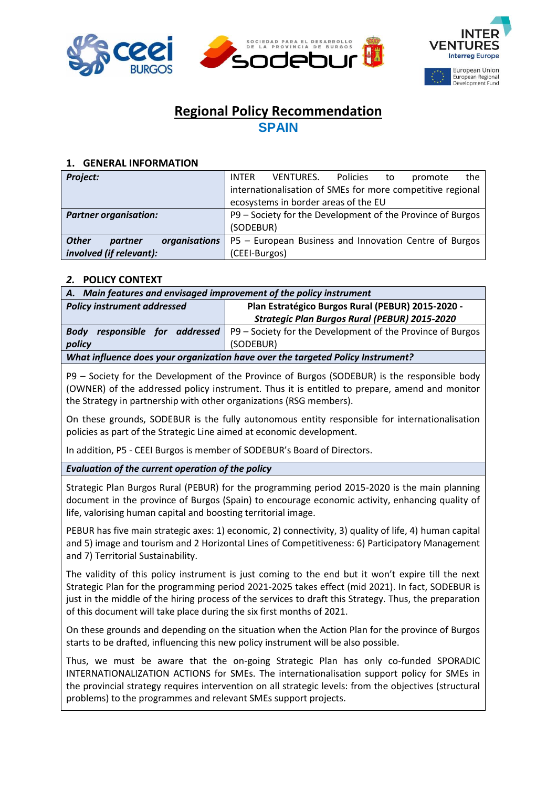





# **Regional Policy Recommendation SPAIN**

## **1. GENERAL INFORMATION**

| Project:                                 | Policies<br><b>VENTURES.</b><br><b>INTER</b><br>the<br>to<br>promote |  |  |  |  |  |
|------------------------------------------|----------------------------------------------------------------------|--|--|--|--|--|
|                                          | internationalisation of SMEs for more competitive regional           |  |  |  |  |  |
|                                          | ecosystems in border areas of the EU                                 |  |  |  |  |  |
| <b>Partner organisation:</b>             | P9 - Society for the Development of the Province of Burgos           |  |  |  |  |  |
|                                          | (SODEBUR)                                                            |  |  |  |  |  |
| <b>Other</b><br>organisations<br>partner | P5 - European Business and Innovation Centre of Burgos               |  |  |  |  |  |
| involved (if relevant):                  | (CEEI-Burgos)                                                        |  |  |  |  |  |

# *2.* **POLICY CONTEXT**

| A. Main features and envisaged improvement of the policy instrument             |                                                            |  |  |  |  |  |
|---------------------------------------------------------------------------------|------------------------------------------------------------|--|--|--|--|--|
| <b>Policy instrument addressed</b>                                              | Plan Estratégico Burgos Rural (PEBUR) 2015-2020 -          |  |  |  |  |  |
|                                                                                 | <b>Strategic Plan Burgos Rural (PEBUR) 2015-2020</b>       |  |  |  |  |  |
| responsible for addressed<br><b>Body</b>                                        | P9 – Society for the Development of the Province of Burgos |  |  |  |  |  |
| policy                                                                          | (SODEBUR)                                                  |  |  |  |  |  |
| What influence does your organization have over the targeted Policy Instrument? |                                                            |  |  |  |  |  |

P9 – Society for the Development of the Province of Burgos (SODEBUR) is the responsible body (OWNER) of the addressed policy instrument. Thus it is entitled to prepare, amend and monitor the Strategy in partnership with other organizations (RSG members).

On these grounds, SODEBUR is the fully autonomous entity responsible for internationalisation policies as part of the Strategic Line aimed at economic development.

In addition, P5 - CEEI Burgos is member of SODEBUR's Board of Directors.

# *Evaluation of the current operation of the policy*

Strategic Plan Burgos Rural (PEBUR) for the programming period 2015-2020 is the main planning document in the province of Burgos (Spain) to encourage economic activity, enhancing quality of life, valorising human capital and boosting territorial image.

PEBUR has five main strategic axes: 1) economic, 2) connectivity, 3) quality of life, 4) human capital and 5) image and tourism and 2 Horizontal Lines of Competitiveness: 6) Participatory Management and 7) Territorial Sustainability.

The validity of this policy instrument is just coming to the end but it won't expire till the next Strategic Plan for the programming period 2021-2025 takes effect (mid 2021). In fact, SODEBUR is just in the middle of the hiring process of the services to draft this Strategy. Thus, the preparation of this document will take place during the six first months of 2021.

On these grounds and depending on the situation when the Action Plan for the province of Burgos starts to be drafted, influencing this new policy instrument will be also possible.

Thus, we must be aware that the on-going Strategic Plan has only co-funded SPORADIC INTERNATIONALIZATION ACTIONS for SMEs. The internationalisation support policy for SMEs in the provincial strategy requires intervention on all strategic levels: from the objectives (structural problems) to the programmes and relevant SMEs support projects.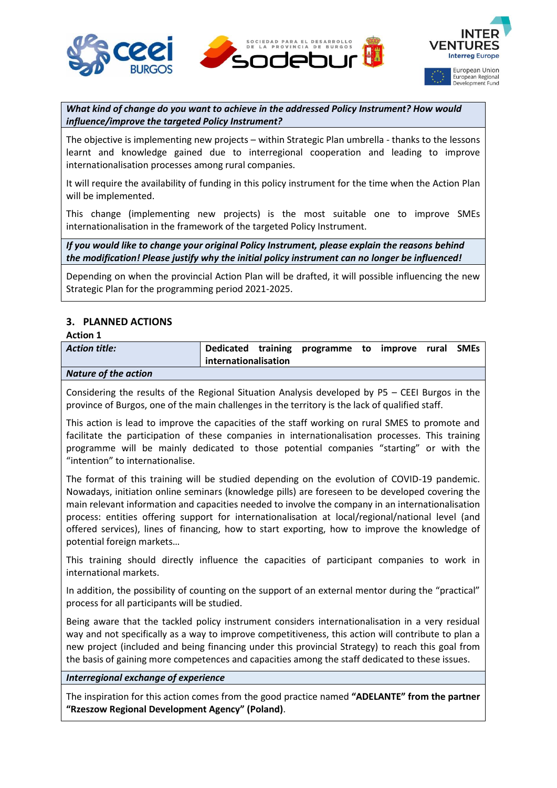





*What kind of change do you want to achieve in the addressed Policy Instrument? How would influence/improve the targeted Policy Instrument?*

The objective is implementing new projects – within Strategic Plan umbrella - thanks to the lessons learnt and knowledge gained due to interregional cooperation and leading to improve internationalisation processes among rural companies.

It will require the availability of funding in this policy instrument for the time when the Action Plan will be implemented.

This change (implementing new projects) is the most suitable one to improve SMEs internationalisation in the framework of the targeted Policy Instrument.

*If you would like to change your original Policy Instrument, please explain the reasons behind the modification! Please justify why the initial policy instrument can no longer be influenced!*

Depending on when the provincial Action Plan will be drafted, it will possible influencing the new Strategic Plan for the programming period 2021-2025.

# **3. PLANNED ACTIONS**

### **Action 1**

| <b>Action title:</b>        | internationalisation | Dedicated training programme to improve rural SMEs |  |  |
|-----------------------------|----------------------|----------------------------------------------------|--|--|
| <b>Nature of the action</b> |                      |                                                    |  |  |

Considering the results of the Regional Situation Analysis developed by P5 – CEEI Burgos in the province of Burgos, one of the main challenges in the territory is the lack of qualified staff.

This action is lead to improve the capacities of the staff working on rural SMES to promote and facilitate the participation of these companies in internationalisation processes. This training programme will be mainly dedicated to those potential companies "starting" or with the "intention" to internationalise.

The format of this training will be studied depending on the evolution of COVID-19 pandemic. Nowadays, initiation online seminars (knowledge pills) are foreseen to be developed covering the main relevant information and capacities needed to involve the company in an internationalisation process: entities offering support for internationalisation at local/regional/national level (and offered services), lines of financing, how to start exporting, how to improve the knowledge of potential foreign markets…

This training should directly influence the capacities of participant companies to work in international markets.

In addition, the possibility of counting on the support of an external mentor during the "practical" process for all participants will be studied.

Being aware that the tackled policy instrument considers internationalisation in a very residual way and not specifically as a way to improve competitiveness, this action will contribute to plan a new project (included and being financing under this provincial Strategy) to reach this goal from the basis of gaining more competences and capacities among the staff dedicated to these issues.

## *Interregional exchange of experience*

The inspiration for this action comes from the good practice named **"ADELANTE" from the partner "Rzeszow Regional Development Agency" (Poland)**.